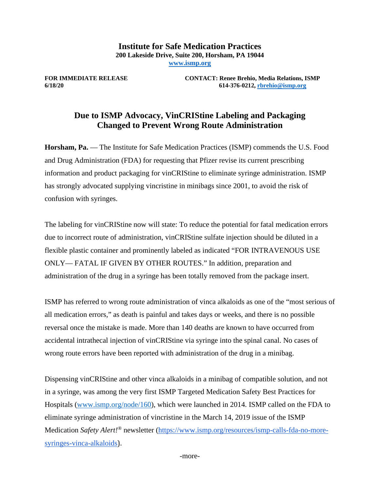**Institute for Safe Medication Practices 200 Lakeside Drive, Suite 200, Horsham, PA 19044 [www.ismp.org](http://www.ismp.org/)**

**FOR IMMEDIATE RELEASE CONTACT: Renee Brehio, Media Relations, ISMP**<br>6/18/20 614-376-0212, rhrehio@ismn.org **6/18/20 614-376-0212[, rbrehio@ismp.org](mailto:rbrehio@ismp.org)**

## **Due to ISMP Advocacy, VinCRIStine Labeling and Packaging Changed to Prevent Wrong Route Administration**

**Horsham, Pa.** — The Institute for Safe Medication Practices (ISMP) commends the U.S. Food and Drug Administration (FDA) for requesting that Pfizer revise its current prescribing information and product packaging for vinCRIStine to eliminate syringe administration. ISMP has strongly advocated supplying vincristine in minibags since 2001, to avoid the risk of confusion with syringes.

The labeling for vinCRIStine now will state: To reduce the potential for fatal medication errors due to incorrect route of administration, vinCRIStine sulfate injection should be diluted in a flexible plastic container and prominently labeled as indicated "FOR INTRAVENOUS USE ONLY— FATAL IF GIVEN BY OTHER ROUTES." In addition, preparation and administration of the drug in a syringe has been totally removed from the package insert.

ISMP has referred to wrong route administration of vinca alkaloids as one of the "most serious of all medication errors," as death is painful and takes days or weeks, and there is no possible reversal once the mistake is made. More than 140 deaths are known to have occurred from accidental intrathecal injection of vinCRIStine via syringe into the spinal canal. No cases of wrong route errors have been reported with administration of the drug in a minibag.

Dispensing vinCRIStine and other vinca alkaloids in a minibag of compatible solution, and not in a syringe, was among the very first ISMP Targeted Medication Safety Best Practices for Hospitals [\(www.ismp.org/node/160\)](http://www.ismp.org/node/160), which were launched in 2014. ISMP called on the FDA to eliminate syringe administration of vincristine in the March 14, 2019 issue of the ISMP Medication *Safety Alert!®* newsletter [\(https://www.ismp.org/resources/ismp-calls-fda-no-more](https://www.ismp.org/resources/ismp-calls-fda-no-more-syringes-vinca-alkaloids)[syringes-vinca-alkaloids](https://www.ismp.org/resources/ismp-calls-fda-no-more-syringes-vinca-alkaloids)).